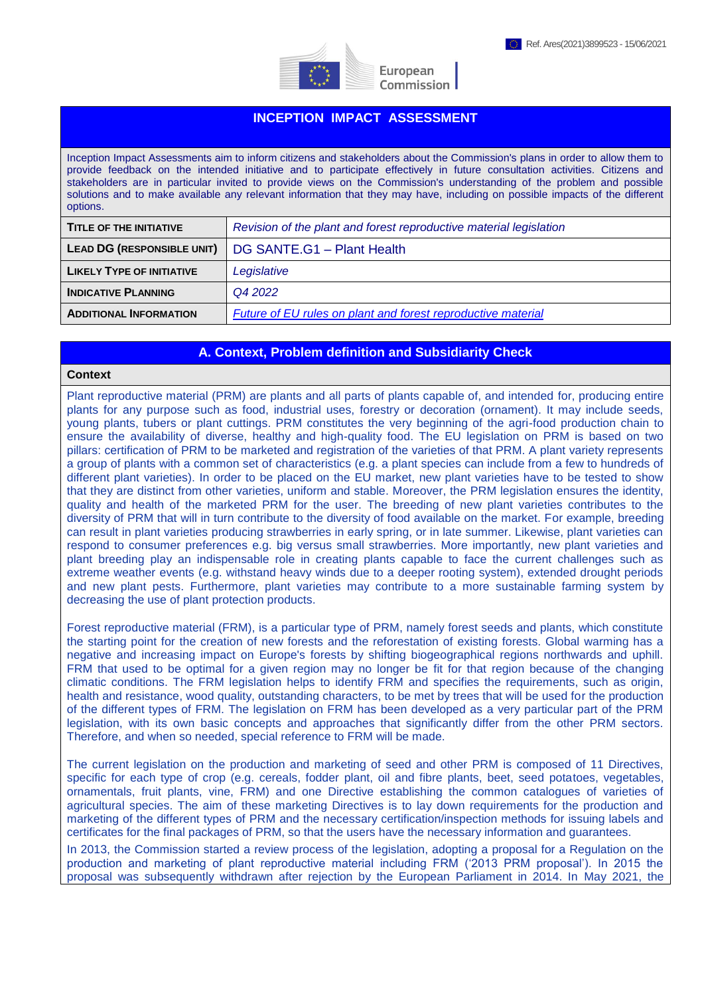



European Commission

# **INCEPTION IMPACT ASSESSMENT**

Inception Impact Assessments aim to inform citizens and stakeholders about the Commission's plans in order to allow them to provide feedback on the intended initiative and to participate effectively in future consultation activities. Citizens and stakeholders are in particular invited to provide views on the Commission's understanding of the problem and possible solutions and to make available any relevant information that they may have, including on possible impacts of the different options.

| TITLE OF THE INITIATIVE          | Revision of the plant and forest reproductive material legislation  |
|----------------------------------|---------------------------------------------------------------------|
| LEAD DG (RESPONSIBLE UNIT)       | DG SANTE.G1 - Plant Health                                          |
| <b>LIKELY TYPE OF INITIATIVE</b> | Legislative                                                         |
| <b>INDICATIVE PLANNING</b>       | Q4 2022                                                             |
| <b>ADDITIONAL INFORMATION</b>    | <b>Future of EU rules on plant and forest reproductive material</b> |

## **A. Context, Problem definition and Subsidiarity Check**

#### **Context**

Plant reproductive material (PRM) are plants and all parts of plants capable of, and intended for, producing entire plants for any purpose such as food, industrial uses, forestry or decoration (ornament). It may include seeds, young plants, tubers or plant cuttings. PRM constitutes the very beginning of the agri-food production chain to ensure the availability of diverse, healthy and high-quality food. The EU legislation on PRM is based on two pillars: certification of PRM to be marketed and registration of the varieties of that PRM. A plant variety represents a group of plants with a common set of characteristics (e.g. a plant species can include from a few to hundreds of different plant varieties). In order to be placed on the EU market, new plant varieties have to be tested to show that they are distinct from other varieties, uniform and stable. Moreover, the PRM legislation ensures the identity, quality and health of the marketed PRM for the user. The breeding of new plant varieties contributes to the diversity of PRM that will in turn contribute to the diversity of food available on the market. For example, breeding can result in plant varieties producing strawberries in early spring, or in late summer. Likewise, plant varieties can respond to consumer preferences e.g. big versus small strawberries. More importantly, new plant varieties and plant breeding play an indispensable role in creating plants capable to face the current challenges such as extreme weather events (e.g. withstand heavy winds due to a deeper rooting system), extended drought periods and new plant pests. Furthermore, plant varieties may contribute to a more sustainable farming system by decreasing the use of plant protection products.

Forest reproductive material (FRM), is a particular type of PRM, namely forest seeds and plants, which constitute the starting point for the creation of new forests and the reforestation of existing forests. Global warming has a negative and increasing impact on Europe's forests by shifting biogeographical regions northwards and uphill. FRM that used to be optimal for a given region may no longer be fit for that region because of the changing climatic conditions. The FRM legislation helps to identify FRM and specifies the requirements, such as origin, health and resistance, wood quality, outstanding characters, to be met by trees that will be used for the production of the different types of FRM. The legislation on FRM has been developed as a very particular part of the PRM legislation, with its own basic concepts and approaches that significantly differ from the other PRM sectors. Therefore, and when so needed, special reference to FRM will be made.

The current legislation on the production and marketing of seed and other PRM is composed of 11 Directives, specific for each type of crop (e.g. cereals, fodder plant, oil and fibre plants, beet, seed potatoes, vegetables, ornamentals, fruit plants, vine, FRM) and one Directive establishing the common catalogues of varieties of agricultural species. The aim of these marketing Directives is to lay down requirements for the production and marketing of the different types of PRM and the necessary certification/inspection methods for issuing labels and certificates for the final packages of PRM, so that the users have the necessary information and guarantees.

In 2013, the Commission started a review process of the legislation, adopting a proposal for a Regulation on the production and marketing of plant reproductive material including FRM ('2013 PRM proposal'). In 2015 the proposal was subsequently withdrawn after rejection by the European Parliament in 2014. In May 2021, the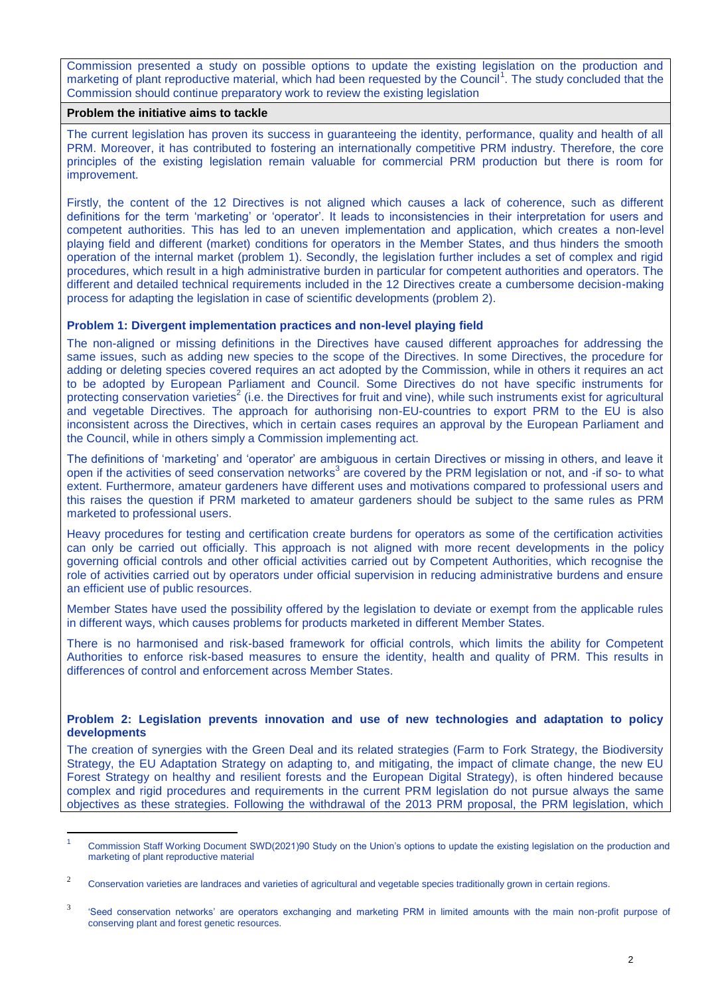Commission presented a study on possible options to update the existing legislation on the production and marketing of plant reproductive material, which had been requested by the Council<sup>1</sup>. The study concluded that the Commission should continue preparatory work to review the existing legislation

### **Problem the initiative aims to tackle**

1

The current legislation has proven its success in guaranteeing the identity, performance, quality and health of all PRM. Moreover, it has contributed to fostering an internationally competitive PRM industry. Therefore, the core principles of the existing legislation remain valuable for commercial PRM production but there is room for improvement.

Firstly, the content of the 12 Directives is not aligned which causes a lack of coherence, such as different definitions for the term 'marketing' or 'operator'. It leads to inconsistencies in their interpretation for users and competent authorities. This has led to an uneven implementation and application, which creates a non-level playing field and different (market) conditions for operators in the Member States, and thus hinders the smooth operation of the internal market (problem 1). Secondly, the legislation further includes a set of complex and rigid procedures, which result in a high administrative burden in particular for competent authorities and operators. The different and detailed technical requirements included in the 12 Directives create a cumbersome decision-making process for adapting the legislation in case of scientific developments (problem 2).

## **Problem 1: Divergent implementation practices and non-level playing field**

The non-aligned or missing definitions in the Directives have caused different approaches for addressing the same issues, such as adding new species to the scope of the Directives. In some Directives, the procedure for adding or deleting species covered requires an act adopted by the Commission, while in others it requires an act to be adopted by European Parliament and Council. Some Directives do not have specific instruments for protecting conservation varieties<sup>2</sup> (i.e. the Directives for fruit and vine), while such instruments exist for agricultural and vegetable Directives. The approach for authorising non-EU-countries to export PRM to the EU is also inconsistent across the Directives, which in certain cases requires an approval by the European Parliament and the Council, while in others simply a Commission implementing act.

The definitions of 'marketing' and 'operator' are ambiguous in certain Directives or missing in others, and leave it open if the activities of seed conservation networks<sup>3</sup> are covered by the PRM legislation or not, and -if so- to what extent. Furthermore, amateur gardeners have different uses and motivations compared to professional users and this raises the question if PRM marketed to amateur gardeners should be subject to the same rules as PRM marketed to professional users.

Heavy procedures for testing and certification create burdens for operators as some of the certification activities can only be carried out officially. This approach is not aligned with more recent developments in the policy governing official controls and other official activities carried out by Competent Authorities, which recognise the role of activities carried out by operators under official supervision in reducing administrative burdens and ensure an efficient use of public resources.

Member States have used the possibility offered by the legislation to deviate or exempt from the applicable rules in different ways, which causes problems for products marketed in different Member States.

There is no harmonised and risk-based framework for official controls, which limits the ability for Competent Authorities to enforce risk-based measures to ensure the identity, health and quality of PRM. This results in differences of control and enforcement across Member States.

## **Problem 2: Legislation prevents innovation and use of new technologies and adaptation to policy developments**

The creation of synergies with the Green Deal and its related strategies (Farm to Fork Strategy, the Biodiversity Strategy, the EU Adaptation Strategy on adapting to, and mitigating, the impact of climate change, the new EU Forest Strategy on healthy and resilient forests and the European Digital Strategy), is often hindered because complex and rigid procedures and requirements in the current PRM legislation do not pursue always the same objectives as these strategies. Following the withdrawal of the 2013 PRM proposal, the PRM legislation, which

<sup>1</sup> Commission Staff Working Document SWD(2021)90 Study on the Union's options to update the existing legislation on the production and marketing of plant reproductive material

<sup>2</sup> Conservation varieties are landraces and varieties of agricultural and vegetable species traditionally grown in certain regions.

<sup>3</sup> 'Seed conservation networks' are operators exchanging and marketing PRM in limited amounts with the main non-profit purpose of conserving plant and forest genetic resources.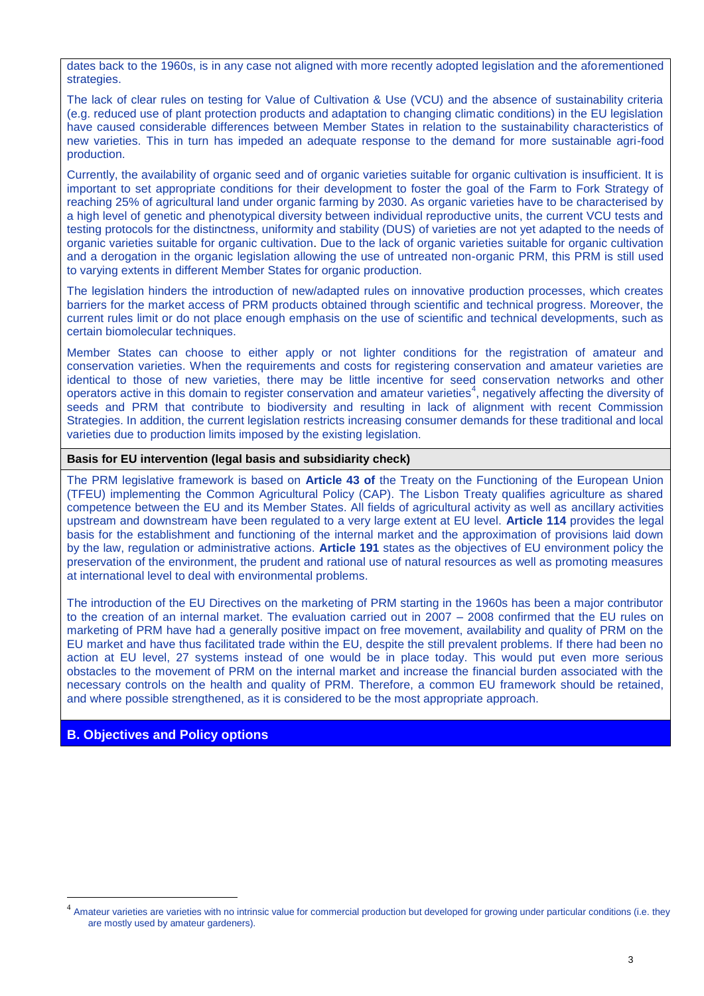dates back to the 1960s, is in any case not aligned with more recently adopted legislation and the aforementioned strategies.

The lack of clear rules on testing for Value of Cultivation & Use (VCU) and the absence of sustainability criteria (e.g. reduced use of plant protection products and adaptation to changing climatic conditions) in the EU legislation have caused considerable differences between Member States in relation to the sustainability characteristics of new varieties. This in turn has impeded an adequate response to the demand for more sustainable agri-food production.

Currently, the availability of organic seed and of organic varieties suitable for organic cultivation is insufficient. It is important to set appropriate conditions for their development to foster the goal of the Farm to Fork Strategy of reaching 25% of agricultural land under organic farming by 2030. As organic varieties have to be characterised by a high level of genetic and phenotypical diversity between individual reproductive units, the current VCU tests and testing protocols for the distinctness, uniformity and stability (DUS) of varieties are not yet adapted to the needs of organic varieties suitable for organic cultivation. Due to the lack of organic varieties suitable for organic cultivation and a derogation in the organic legislation allowing the use of untreated non-organic PRM, this PRM is still used to varying extents in different Member States for organic production.

The legislation hinders the introduction of new/adapted rules on innovative production processes, which creates barriers for the market access of PRM products obtained through scientific and technical progress. Moreover, the current rules limit or do not place enough emphasis on the use of scientific and technical developments, such as certain biomolecular techniques.

Member States can choose to either apply or not lighter conditions for the registration of amateur and conservation varieties. When the requirements and costs for registering conservation and amateur varieties are identical to those of new varieties, there may be little incentive for seed conservation networks and other operators active in this domain to register conservation and amateur varieties<sup>4</sup>, negatively affecting the diversity of seeds and PRM that contribute to biodiversity and resulting in lack of alignment with recent Commission Strategies. In addition, the current legislation restricts increasing consumer demands for these traditional and local varieties due to production limits imposed by the existing legislation.

## **Basis for EU intervention (legal basis and subsidiarity check)**

The PRM legislative framework is based on **Article 43 of** the Treaty on the Functioning of the European Union (TFEU) implementing the Common Agricultural Policy (CAP). The Lisbon Treaty qualifies agriculture as shared competence between the EU and its Member States. All fields of agricultural activity as well as ancillary activities upstream and downstream have been regulated to a very large extent at EU level. **Article 114** provides the legal basis for the establishment and functioning of the internal market and the approximation of provisions laid down by the law, regulation or administrative actions. **Article 191** states as the objectives of EU environment policy the preservation of the environment, the prudent and rational use of natural resources as well as promoting measures at international level to deal with environmental problems.

The introduction of the EU Directives on the marketing of PRM starting in the 1960s has been a major contributor to the creation of an internal market. The evaluation carried out in 2007 – 2008 confirmed that the EU rules on marketing of PRM have had a generally positive impact on free movement, availability and quality of PRM on the EU market and have thus facilitated trade within the EU, despite the still prevalent problems. If there had been no action at EU level, 27 systems instead of one would be in place today. This would put even more serious obstacles to the movement of PRM on the internal market and increase the financial burden associated with the necessary controls on the health and quality of PRM. Therefore, a common EU framework should be retained, and where possible strengthened, as it is considered to be the most appropriate approach.

### **B. Objectives and Policy options**

<u>.</u>

<sup>&</sup>lt;sup>4</sup> Amateur varieties are varieties with no intrinsic value for commercial production but developed for growing under particular conditions (i.e. they are mostly used by amateur gardeners).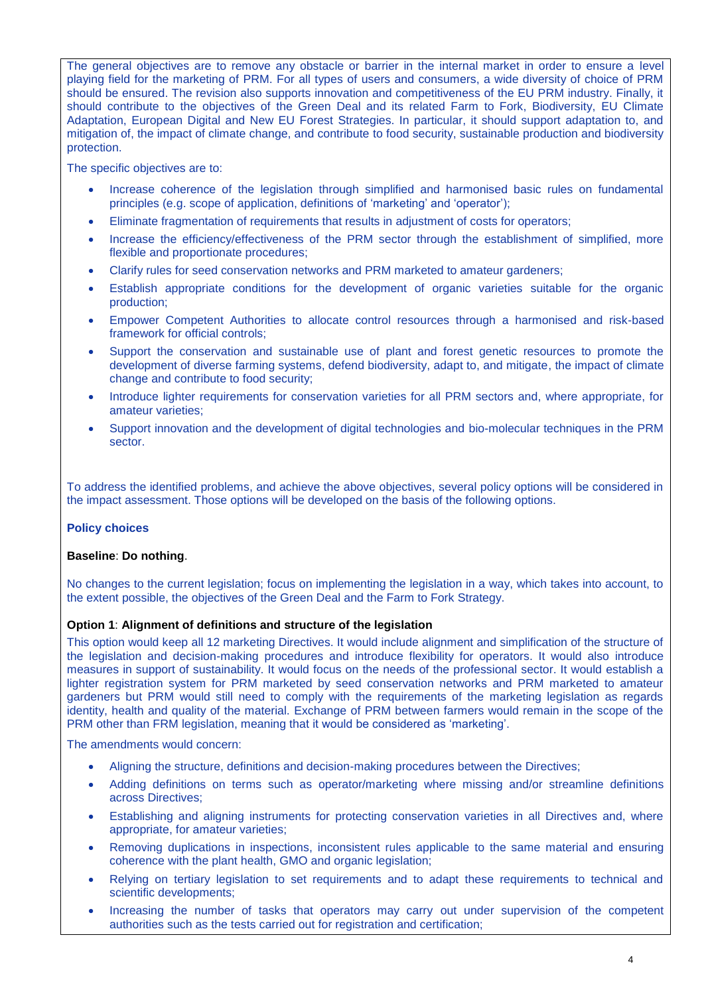The general objectives are to remove any obstacle or barrier in the internal market in order to ensure a level playing field for the marketing of PRM. For all types of users and consumers, a wide diversity of choice of PRM should be ensured. The revision also supports innovation and competitiveness of the EU PRM industry. Finally, it should contribute to the objectives of the Green Deal and its related Farm to Fork, Biodiversity, EU Climate Adaptation, European Digital and New EU Forest Strategies. In particular, it should support adaptation to, and mitigation of, the impact of climate change, and contribute to food security, sustainable production and biodiversity protection.

The specific objectives are to:

- Increase coherence of the legislation through simplified and harmonised basic rules on fundamental principles (e.g. scope of application, definitions of 'marketing' and 'operator');
- Eliminate fragmentation of requirements that results in adjustment of costs for operators;
- Increase the efficiency/effectiveness of the PRM sector through the establishment of simplified, more flexible and proportionate procedures;
- Clarify rules for seed conservation networks and PRM marketed to amateur gardeners;
- Establish appropriate conditions for the development of organic varieties suitable for the organic production;
- Empower Competent Authorities to allocate control resources through a harmonised and risk-based framework for official controls;
- Support the conservation and sustainable use of plant and forest genetic resources to promote the development of diverse farming systems, defend biodiversity, adapt to, and mitigate, the impact of climate change and contribute to food security;
- Introduce lighter requirements for conservation varieties for all PRM sectors and, where appropriate, for amateur varieties;
- Support innovation and the development of digital technologies and bio-molecular techniques in the PRM sector.

To address the identified problems, and achieve the above objectives, several policy options will be considered in the impact assessment. Those options will be developed on the basis of the following options.

## **Policy choices**

### **Baseline**: **Do nothing**.

No changes to the current legislation; focus on implementing the legislation in a way, which takes into account, to the extent possible, the objectives of the Green Deal and the Farm to Fork Strategy.

### **Option 1**: **Alignment of definitions and structure of the legislation**

This option would keep all 12 marketing Directives. It would include alignment and simplification of the structure of the legislation and decision-making procedures and introduce flexibility for operators. It would also introduce measures in support of sustainability. It would focus on the needs of the professional sector. It would establish a lighter registration system for PRM marketed by seed conservation networks and PRM marketed to amateur gardeners but PRM would still need to comply with the requirements of the marketing legislation as regards identity, health and quality of the material. Exchange of PRM between farmers would remain in the scope of the PRM other than FRM legislation, meaning that it would be considered as 'marketing'.

The amendments would concern:

- Aligning the structure, definitions and decision-making procedures between the Directives;
- Adding definitions on terms such as operator/marketing where missing and/or streamline definitions across Directives;
- Establishing and aligning instruments for protecting conservation varieties in all Directives and, where appropriate, for amateur varieties;
- Removing duplications in inspections, inconsistent rules applicable to the same material and ensuring coherence with the plant health, GMO and organic legislation;
- Relying on tertiary legislation to set requirements and to adapt these requirements to technical and scientific developments;
- Increasing the number of tasks that operators may carry out under supervision of the competent authorities such as the tests carried out for registration and certification;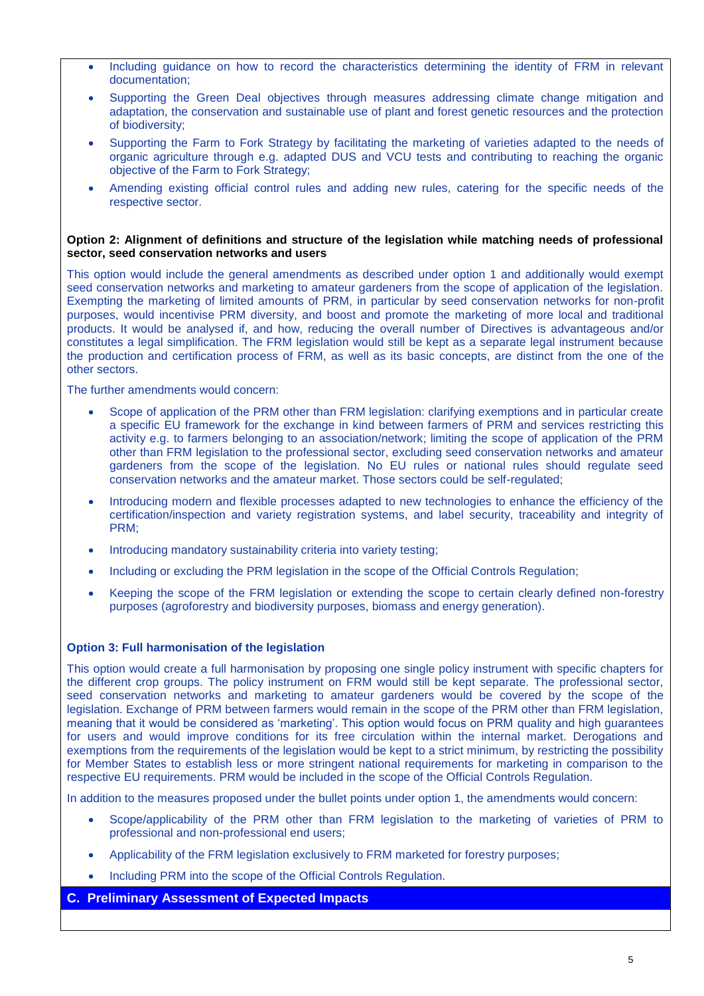- Including guidance on how to record the characteristics determining the identity of FRM in relevant documentation;
- Supporting the Green Deal objectives through measures addressing climate change mitigation and adaptation, the conservation and sustainable use of plant and forest genetic resources and the protection of biodiversity;
- Supporting the Farm to Fork Strategy by facilitating the marketing of varieties adapted to the needs of organic agriculture through e.g. adapted DUS and VCU tests and contributing to reaching the organic objective of the Farm to Fork Strategy;
- Amending existing official control rules and adding new rules, catering for the specific needs of the respective sector.

### **Option 2: Alignment of definitions and structure of the legislation while matching needs of professional sector, seed conservation networks and users**

This option would include the general amendments as described under option 1 and additionally would exempt seed conservation networks and marketing to amateur gardeners from the scope of application of the legislation. Exempting the marketing of limited amounts of PRM, in particular by seed conservation networks for non-profit purposes, would incentivise PRM diversity, and boost and promote the marketing of more local and traditional products. It would be analysed if, and how, reducing the overall number of Directives is advantageous and/or constitutes a legal simplification. The FRM legislation would still be kept as a separate legal instrument because the production and certification process of FRM, as well as its basic concepts, are distinct from the one of the other sectors.

The further amendments would concern:

- Scope of application of the PRM other than FRM legislation: clarifying exemptions and in particular create a specific EU framework for the exchange in kind between farmers of PRM and services restricting this activity e.g. to farmers belonging to an association/network; limiting the scope of application of the PRM other than FRM legislation to the professional sector, excluding seed conservation networks and amateur gardeners from the scope of the legislation. No EU rules or national rules should regulate seed conservation networks and the amateur market. Those sectors could be self-regulated;
- Introducing modern and flexible processes adapted to new technologies to enhance the efficiency of the certification/inspection and variety registration systems, and label security, traceability and integrity of PRM;
- Introducing mandatory sustainability criteria into variety testing;
- Including or excluding the PRM legislation in the scope of the Official Controls Regulation;
- Keeping the scope of the FRM legislation or extending the scope to certain clearly defined non-forestry purposes (agroforestry and biodiversity purposes, biomass and energy generation).

## **Option 3: Full harmonisation of the legislation**

This option would create a full harmonisation by proposing one single policy instrument with specific chapters for the different crop groups. The policy instrument on FRM would still be kept separate. The professional sector, seed conservation networks and marketing to amateur gardeners would be covered by the scope of the legislation. Exchange of PRM between farmers would remain in the scope of the PRM other than FRM legislation, meaning that it would be considered as 'marketing'. This option would focus on PRM quality and high guarantees for users and would improve conditions for its free circulation within the internal market. Derogations and exemptions from the requirements of the legislation would be kept to a strict minimum, by restricting the possibility for Member States to establish less or more stringent national requirements for marketing in comparison to the respective EU requirements. PRM would be included in the scope of the Official Controls Regulation.

In addition to the measures proposed under the bullet points under option 1, the amendments would concern:

- Scope/applicability of the PRM other than FRM legislation to the marketing of varieties of PRM to professional and non-professional end users;
- Applicability of the FRM legislation exclusively to FRM marketed for forestry purposes;
- Including PRM into the scope of the Official Controls Regulation.

## **C. Preliminary Assessment of Expected Impacts**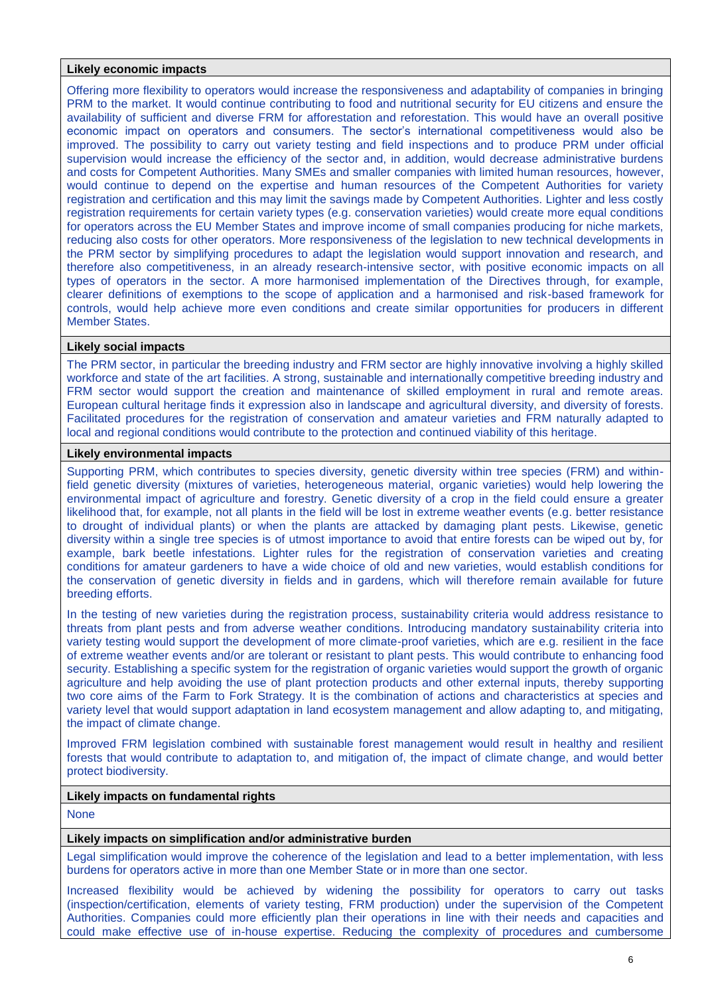### **Likely economic impacts**

Offering more flexibility to operators would increase the responsiveness and adaptability of companies in bringing PRM to the market. It would continue contributing to food and nutritional security for EU citizens and ensure the availability of sufficient and diverse FRM for afforestation and reforestation. This would have an overall positive economic impact on operators and consumers. The sector's international competitiveness would also be improved. The possibility to carry out variety testing and field inspections and to produce PRM under official supervision would increase the efficiency of the sector and, in addition, would decrease administrative burdens and costs for Competent Authorities. Many SMEs and smaller companies with limited human resources, however, would continue to depend on the expertise and human resources of the Competent Authorities for variety registration and certification and this may limit the savings made by Competent Authorities. Lighter and less costly registration requirements for certain variety types (e.g. conservation varieties) would create more equal conditions for operators across the EU Member States and improve income of small companies producing for niche markets, reducing also costs for other operators. More responsiveness of the legislation to new technical developments in the PRM sector by simplifying procedures to adapt the legislation would support innovation and research, and therefore also competitiveness, in an already research-intensive sector, with positive economic impacts on all types of operators in the sector. A more harmonised implementation of the Directives through, for example, clearer definitions of exemptions to the scope of application and a harmonised and risk-based framework for controls, would help achieve more even conditions and create similar opportunities for producers in different Member States.

### **Likely social impacts**

The PRM sector, in particular the breeding industry and FRM sector are highly innovative involving a highly skilled workforce and state of the art facilities. A strong, sustainable and internationally competitive breeding industry and FRM sector would support the creation and maintenance of skilled employment in rural and remote areas. European cultural heritage finds it expression also in landscape and agricultural diversity, and diversity of forests. Facilitated procedures for the registration of conservation and amateur varieties and FRM naturally adapted to local and regional conditions would contribute to the protection and continued viability of this heritage.

### **Likely environmental impacts**

Supporting PRM, which contributes to species diversity, genetic diversity within tree species (FRM) and withinfield genetic diversity (mixtures of varieties, heterogeneous material, organic varieties) would help lowering the environmental impact of agriculture and forestry. Genetic diversity of a crop in the field could ensure a greater likelihood that, for example, not all plants in the field will be lost in extreme weather events (e.g. better resistance to drought of individual plants) or when the plants are attacked by damaging plant pests. Likewise, genetic diversity within a single tree species is of utmost importance to avoid that entire forests can be wiped out by, for example, bark beetle infestations. Lighter rules for the registration of conservation varieties and creating conditions for amateur gardeners to have a wide choice of old and new varieties, would establish conditions for the conservation of genetic diversity in fields and in gardens, which will therefore remain available for future breeding efforts.

In the testing of new varieties during the registration process, sustainability criteria would address resistance to threats from plant pests and from adverse weather conditions. Introducing mandatory sustainability criteria into variety testing would support the development of more climate-proof varieties, which are e.g. resilient in the face of extreme weather events and/or are tolerant or resistant to plant pests. This would contribute to enhancing food security. Establishing a specific system for the registration of organic varieties would support the growth of organic agriculture and help avoiding the use of plant protection products and other external inputs, thereby supporting two core aims of the Farm to Fork Strategy. It is the combination of actions and characteristics at species and variety level that would support adaptation in land ecosystem management and allow adapting to, and mitigating, the impact of climate change.

Improved FRM legislation combined with sustainable forest management would result in healthy and resilient forests that would contribute to adaptation to, and mitigation of, the impact of climate change, and would better protect biodiversity.

### **Likely impacts on fundamental rights**

**None** 

## **Likely impacts on simplification and/or administrative burden**

Legal simplification would improve the coherence of the legislation and lead to a better implementation, with less burdens for operators active in more than one Member State or in more than one sector.

Increased flexibility would be achieved by widening the possibility for operators to carry out tasks (inspection/certification, elements of variety testing, FRM production) under the supervision of the Competent Authorities. Companies could more efficiently plan their operations in line with their needs and capacities and could make effective use of in-house expertise. Reducing the complexity of procedures and cumbersome